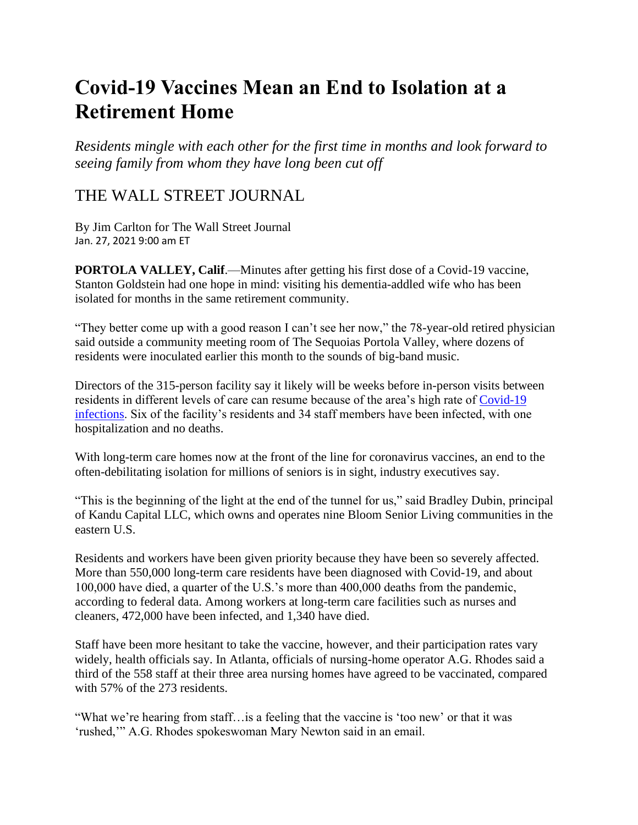## **Covid-19 Vaccines Mean an End to Isolation at a Retirement Home**

*Residents mingle with each other for the first time in months and look forward to seeing family from whom they have long been cut off*

## THE WALL STREET JOURNAL

By Jim Carlton for The Wall Street Journal Jan. 27, 2021 9:00 am ET

**PORTOLA VALLEY, Calif.—Minutes after getting his first dose of a Covid-19 vaccine,** Stanton Goldstein had one hope in mind: visiting his dementia-addled wife who has been isolated for months in the same retirement community.

"They better come up with a good reason I can't see her now," the 78-year-old retired physician said outside a community meeting room of The Sequoias Portola Valley, where dozens of residents were inoculated earlier this month to the sounds of big-band music.

Directors of the 315-person facility say it likely will be weeks before in-person visits between residents in different levels of care can resume because of the area's high rate of [Covid-19](https://www.wsj.com/news/collection/coronavirus0312-256f2943?mod=article_inline)  [infections.](https://www.wsj.com/news/collection/coronavirus0312-256f2943?mod=article_inline) Six of the facility's residents and 34 staff members have been infected, with one hospitalization and no deaths.

With long-term care homes now at the front of the line for coronavirus vaccines, an end to the often-debilitating isolation for millions of seniors is in sight, industry executives say.

"This is the beginning of the light at the end of the tunnel for us," said Bradley Dubin, principal of Kandu Capital LLC, which owns and operates nine Bloom Senior Living communities in the eastern U.S.

Residents and workers have been given priority because they have been so severely affected. More than 550,000 long-term care residents have been diagnosed with Covid-19, and about 100,000 have died, a quarter of the U.S.'s more than 400,000 deaths from the pandemic, according to federal data. Among workers at long-term care facilities such as nurses and cleaners, 472,000 have been infected, and 1,340 have died.

Staff have been more hesitant to take the vaccine, however, and their participation rates vary widely, health officials say. In Atlanta, officials of nursing-home operator A.G. Rhodes said a third of the 558 staff at their three area nursing homes have agreed to be vaccinated, compared with 57% of the 273 residents.

"What we're hearing from staff…is a feeling that the vaccine is 'too new' or that it was 'rushed,'" A.G. Rhodes spokeswoman Mary Newton said in an email.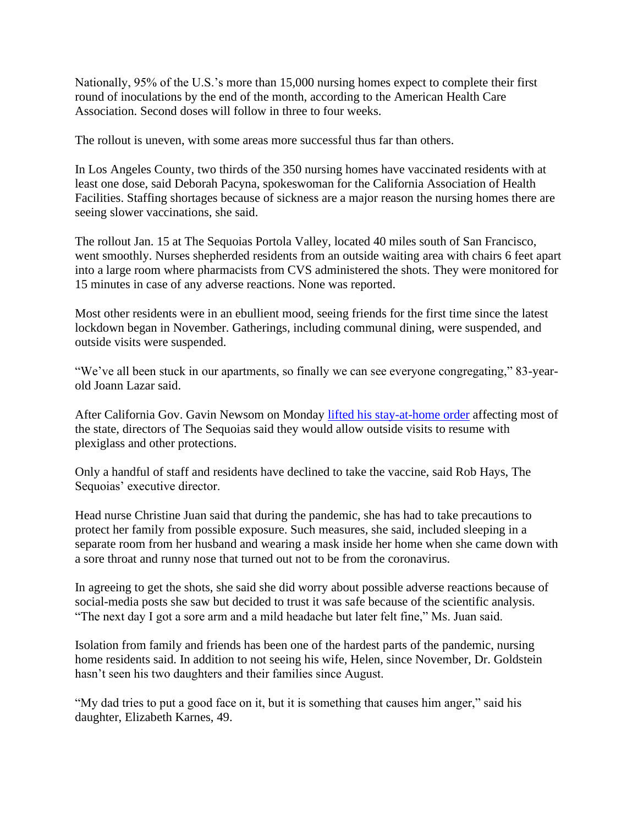Nationally, 95% of the U.S.'s more than 15,000 nursing homes expect to complete their first round of inoculations by the end of the month, according to the American Health Care Association. Second doses will follow in three to four weeks.

The rollout is uneven, with some areas more successful thus far than others.

In Los Angeles County, two thirds of the 350 nursing homes have vaccinated residents with at least one dose, said Deborah Pacyna, spokeswoman for the California Association of Health Facilities. Staffing shortages because of sickness are a major reason the nursing homes there are seeing slower vaccinations, she said.

The rollout Jan. 15 at The Sequoias Portola Valley, located 40 miles south of San Francisco, went smoothly. Nurses shepherded residents from an outside waiting area with chairs 6 feet apart into a large room where pharmacists from CVS administered the shots. They were monitored for 15 minutes in case of any adverse reactions. None was reported.

Most other residents were in an ebullient mood, seeing friends for the first time since the latest lockdown began in November. Gatherings, including communal dining, were suspended, and outside visits were suspended.

"We've all been stuck in our apartments, so finally we can see everyone congregating," 83-yearold Joann Lazar said.

After California Gov. Gavin Newsom on Monday [lifted his stay-at-home order](https://www.wsj.com/livecoverage/covid-2021-01-25/card/tJiYrQZE3Fp8O1ROOedf?mod=article_inline) affecting most of the state, directors of The Sequoias said they would allow outside visits to resume with plexiglass and other protections.

Only a handful of staff and residents have declined to take the vaccine, said Rob Hays, The Sequoias' executive director.

Head nurse Christine Juan said that during the pandemic, she has had to take precautions to protect her family from possible exposure. Such measures, she said, included sleeping in a separate room from her husband and wearing a mask inside her home when she came down with a sore throat and runny nose that turned out not to be from the coronavirus.

In agreeing to get the shots, she said she did worry about possible adverse reactions because of social-media posts she saw but decided to trust it was safe because of the scientific analysis. "The next day I got a sore arm and a mild headache but later felt fine," Ms. Juan said.

Isolation from family and friends has been one of the hardest parts of the pandemic, nursing home residents said. In addition to not seeing his wife, Helen, since November, Dr. Goldstein hasn't seen his two daughters and their families since August.

"My dad tries to put a good face on it, but it is something that causes him anger," said his daughter, Elizabeth Karnes, 49.